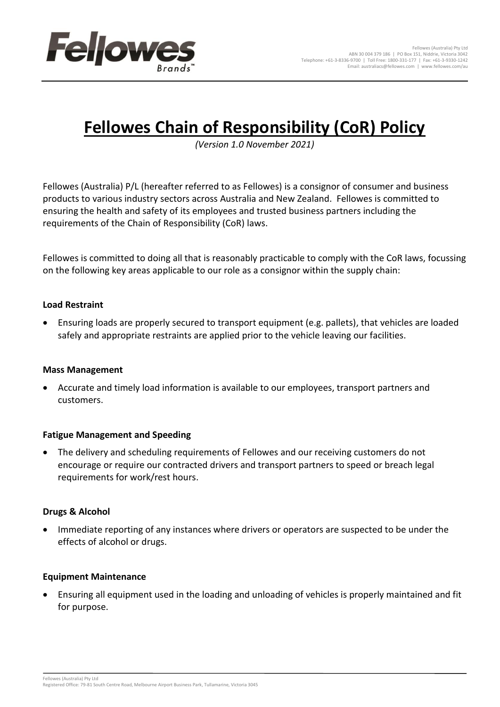

# **Fellowes Chain of Responsibility (CoR) Policy**

*(Version 1.0 November 2021)*

Fellowes (Australia) P/L (hereafter referred to as Fellowes) is a consignor of consumer and business products to various industry sectors across Australia and New Zealand. Fellowes is committed to ensuring the health and safety of its employees and trusted business partners including the requirements of the Chain of Responsibility (CoR) laws.

Fellowes is committed to doing all that is reasonably practicable to comply with the CoR laws, focussing on the following key areas applicable to our role as a consignor within the supply chain:

## **Load Restraint**

• Ensuring loads are properly secured to transport equipment (e.g. pallets), that vehicles are loaded safely and appropriate restraints are applied prior to the vehicle leaving our facilities.

#### **Mass Management**

• Accurate and timely load information is available to our employees, transport partners and customers.

## **Fatigue Management and Speeding**

• The delivery and scheduling requirements of Fellowes and our receiving customers do not encourage or require our contracted drivers and transport partners to speed or breach legal requirements for work/rest hours.

#### **Drugs & Alcohol**

• Immediate reporting of any instances where drivers or operators are suspected to be under the effects of alcohol or drugs.

#### **Equipment Maintenance**

• Ensuring all equipment used in the loading and unloading of vehicles is properly maintained and fit for purpose.

Fellowes (Australia) Pty Ltd Registered Office: 79-81 South Centre Road, Melbourne Airport Business Park, Tullamarine, Victoria 3045